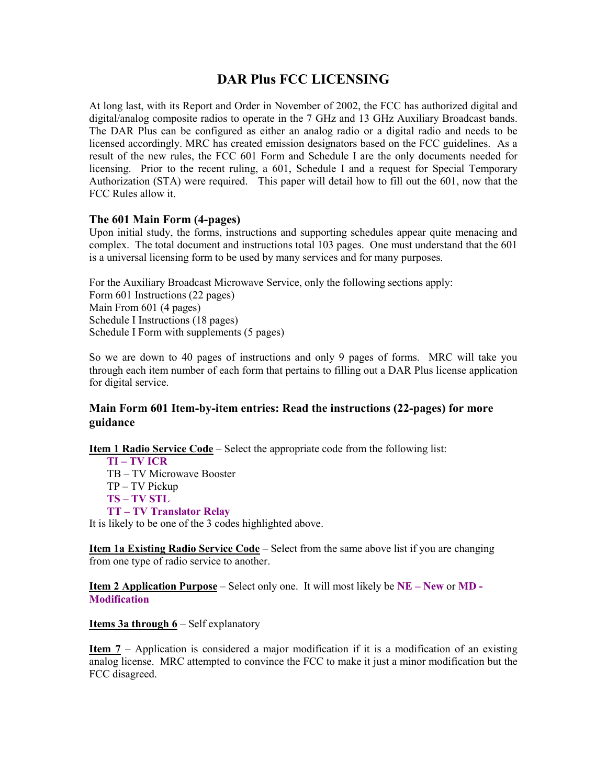# **DAR Plus FCC LICENSING**

At long last, with its Report and Order in November of 2002, the FCC has authorized digital and digital/analog composite radios to operate in the 7 GHz and 13 GHz Auxiliary Broadcast bands. The DAR Plus can be configured as either an analog radio or a digital radio and needs to be licensed accordingly. MRC has created emission designators based on the FCC guidelines. As a result of the new rules, the FCC 601 Form and Schedule I are the only documents needed for licensing. Prior to the recent ruling, a 601, Schedule I and a request for Special Temporary Authorization (STA) were required. This paper will detail how to fill out the 601, now that the FCC Rules allow it.

# **The 601 Main Form (4-pages)**

Upon initial study, the forms, instructions and supporting schedules appear quite menacing and complex. The total document and instructions total 103 pages. One must understand that the 601 is a universal licensing form to be used by many services and for many purposes.

For the Auxiliary Broadcast Microwave Service, only the following sections apply: Form 601 Instructions (22 pages) Main From 601 (4 pages) Schedule I Instructions (18 pages) Schedule I Form with supplements (5 pages)

So we are down to 40 pages of instructions and only 9 pages of forms. MRC will take you through each item number of each form that pertains to filling out a DAR Plus license application for digital service.

# **Main Form 601 Item-by-item entries: Read the instructions (22-pages) for more guidance**

**Item 1 Radio Service Code** – Select the appropriate code from the following list:

**TI – TV ICR**  TB – TV Microwave Booster TP – TV Pickup **TS – TV STL TT – TV Translator Relay**  It is likely to be one of the 3 codes highlighted above.

**Item 1a Existing Radio Service Code** – Select from the same above list if you are changing from one type of radio service to another.

**Item 2 Application Purpose** – Select only one. It will most likely be **NE – New** or **MD - Modification** 

**Items 3a through 6** – Self explanatory

**Item 7** – Application is considered a major modification if it is a modification of an existing analog license. MRC attempted to convince the FCC to make it just a minor modification but the FCC disagreed.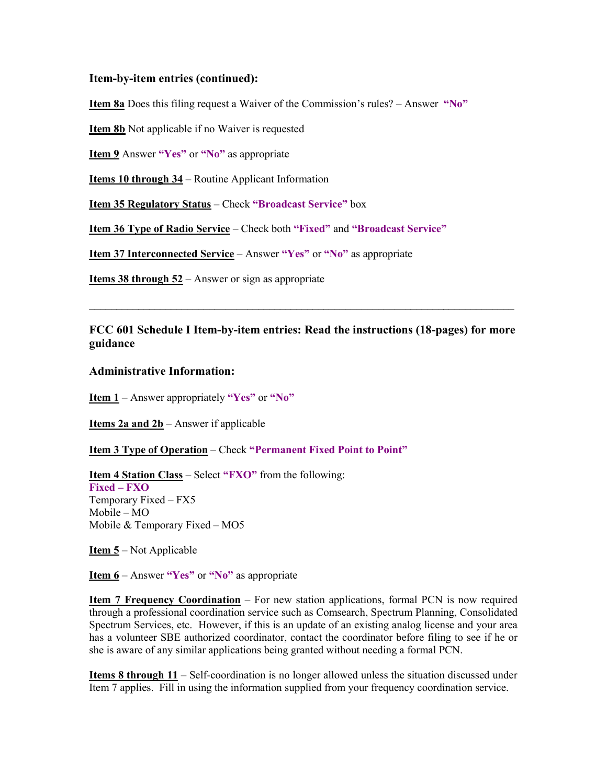#### **Item-by-item entries (continued):**

**Item 8a** Does this filing request a Waiver of the Commission's rules? – Answer **"No"**

**Item 8b** Not applicable if no Waiver is requested

**Item 9** Answer **"Yes"** or **"No"** as appropriate

**Items 10 through 34** – Routine Applicant Information

**Item 35 Regulatory Status** – Check **"Broadcast Service"** box

**Item 36 Type of Radio Service** – Check both **"Fixed"** and **"Broadcast Service"**

**Item 37 Interconnected Service** – Answer **"Yes"** or **"No"** as appropriate

**Items 38 through 52** – Answer or sign as appropriate

# **FCC 601 Schedule I Item-by-item entries: Read the instructions (18-pages) for more guidance**

 $\mathcal{L}_\mathcal{L} = \{ \mathcal{L}_\mathcal{L} = \{ \mathcal{L}_\mathcal{L} = \{ \mathcal{L}_\mathcal{L} = \{ \mathcal{L}_\mathcal{L} = \{ \mathcal{L}_\mathcal{L} = \{ \mathcal{L}_\mathcal{L} = \{ \mathcal{L}_\mathcal{L} = \{ \mathcal{L}_\mathcal{L} = \{ \mathcal{L}_\mathcal{L} = \{ \mathcal{L}_\mathcal{L} = \{ \mathcal{L}_\mathcal{L} = \{ \mathcal{L}_\mathcal{L} = \{ \mathcal{L}_\mathcal{L} = \{ \mathcal{L}_\mathcal{$ 

#### **Administrative Information:**

**Item 1** – Answer appropriately **"Yes"** or **"No"**

**Items 2a and 2b** – Answer if applicable

**<u>Item 3 Type of Operation</u>** – Check "Permanent Fixed Point to Point"

**Item 4 Station Class** – Select **"FXO"** from the following: **Fixed – FXO**  Temporary Fixed – FX5 Mobile – MO Mobile & Temporary Fixed – MO5

**Item 5** – Not Applicable

**Item 6** – Answer **"Yes"** or **"No"** as appropriate

**Item 7 Frequency Coordination** – For new station applications, formal PCN is now required through a professional coordination service such as Comsearch, Spectrum Planning, Consolidated Spectrum Services, etc. However, if this is an update of an existing analog license and your area has a volunteer SBE authorized coordinator, contact the coordinator before filing to see if he or she is aware of any similar applications being granted without needing a formal PCN.

**Items 8 through 11** – Self-coordination is no longer allowed unless the situation discussed under Item 7 applies. Fill in using the information supplied from your frequency coordination service.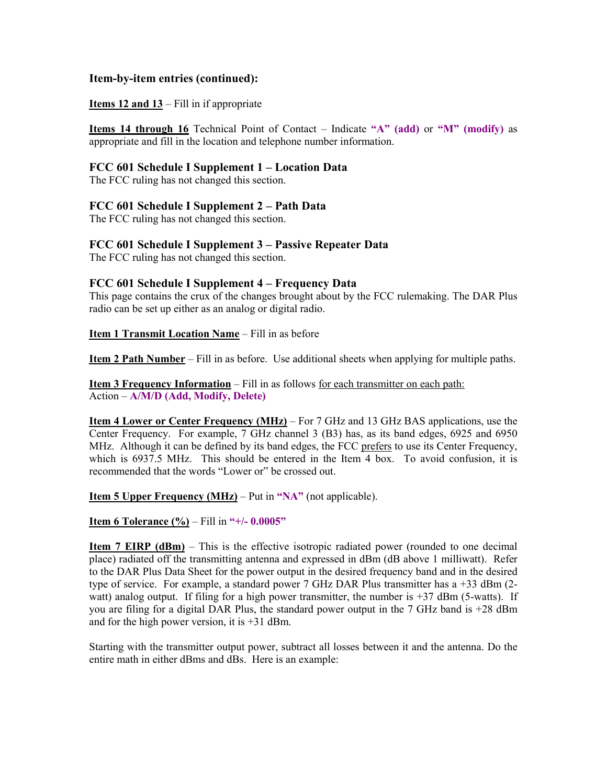### **Item-by-item entries (continued):**

#### **Items 12 and 13** – Fill in if appropriate

**Items 14 through 16** Technical Point of Contact – Indicate **"A" (add)** or **"M" (modify)** as appropriate and fill in the location and telephone number information.

#### **FCC 601 Schedule I Supplement 1 – Location Data**

The FCC ruling has not changed this section.

#### **FCC 601 Schedule I Supplement 2 – Path Data**

The FCC ruling has not changed this section.

# **FCC 601 Schedule I Supplement 3 – Passive Repeater Data**

The FCC ruling has not changed this section.

#### **FCC 601 Schedule I Supplement 4 – Frequency Data**

This page contains the crux of the changes brought about by the FCC rulemaking. The DAR Plus radio can be set up either as an analog or digital radio.

**Item 1 Transmit Location Name** – Fill in as before

**Item 2 Path Number** – Fill in as before. Use additional sheets when applying for multiple paths.

**Item 3 Frequency Information** – Fill in as follows for each transmitter on each path: Action – **A/M/D (Add, Modify, Delete)** 

**Item 4 Lower or Center Frequency (MHz)** – For 7 GHz and 13 GHz BAS applications, use the Center Frequency. For example, 7 GHz channel 3 (B3) has, as its band edges, 6925 and 6950 MHz. Although it can be defined by its band edges, the FCC prefers to use its Center Frequency, which is 6937.5 MHz. This should be entered in the Item 4 box. To avoid confusion, it is recommended that the words "Lower or" be crossed out.

**Item 5 Upper Frequency (MHz)** – Put in **"NA"** (not applicable).

**Item 6 Tolerance (%)** – Fill in **"+/- 0.0005"** 

**Item 7 EIRP (dBm)** – This is the effective isotropic radiated power (rounded to one decimal place) radiated off the transmitting antenna and expressed in dBm (dB above 1 milliwatt). Refer to the DAR Plus Data Sheet for the power output in the desired frequency band and in the desired type of service. For example, a standard power 7 GHz DAR Plus transmitter has a +33 dBm (2 watt) analog output. If filing for a high power transmitter, the number is  $+37$  dBm (5-watts). If you are filing for a digital DAR Plus, the standard power output in the 7 GHz band is +28 dBm and for the high power version, it is +31 dBm.

Starting with the transmitter output power, subtract all losses between it and the antenna. Do the entire math in either dBms and dBs. Here is an example: